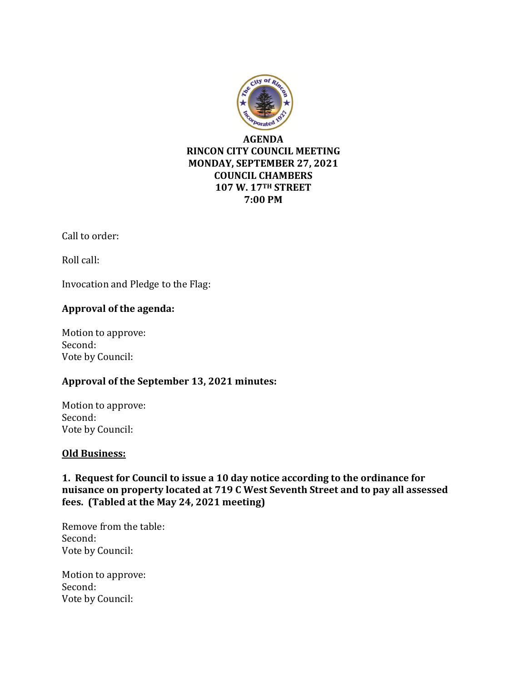

Call to order:

Roll call:

Invocation and Pledge to the Flag:

## **Approval of the agenda:**

Motion to approve: Second: Vote by Council:

## **Approval of the September 13, 2021 minutes:**

Motion to approve: Second: Vote by Council:

#### **Old Business:**

**1. Request for Council to issue a 10 day notice according to the ordinance for nuisance on property located at 719 C West Seventh Street and to pay all assessed fees. (Tabled at the May 24, 2021 meeting)**

Remove from the table: Second: Vote by Council:

Motion to approve: Second: Vote by Council: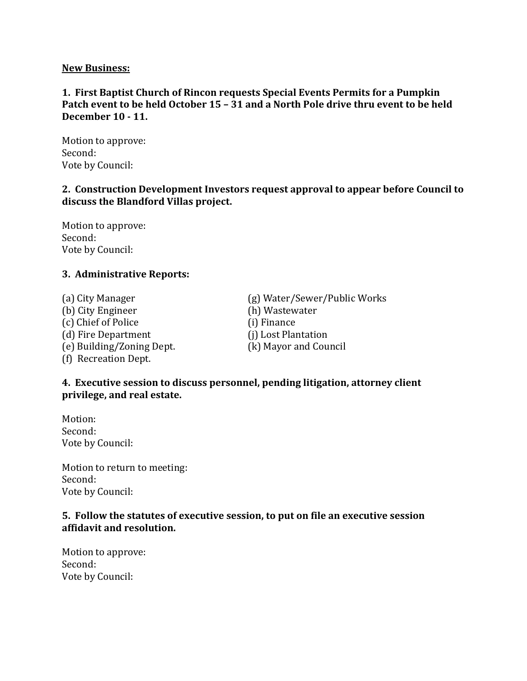#### **New Business:**

## **1. First Baptist Church of Rincon requests Special Events Permits for a Pumpkin Patch event to be held October 15 – 31 and a North Pole drive thru event to be held December 10 - 11.**

Motion to approve: Second: Vote by Council:

## **2. Construction Development Investors request approval to appear before Council to discuss the Blandford Villas project.**

Motion to approve: Second: Vote by Council:

## **3. Administrative Reports:**

(a) City Manager (g) Water/Sewer/Public Works (b) City Engineer (h) Wastewater (c) Chief of Police (i) Finance (d) Fire Department (j) Lost Plantation (e) Building/Zoning Dept. (k) Mayor and Council (f) Recreation Dept.

## **4. Executive session to discuss personnel, pending litigation, attorney client privilege, and real estate.**

Motion: Second: Vote by Council:

Motion to return to meeting: Second: Vote by Council:

#### **5. Follow the statutes of executive session, to put on file an executive session affidavit and resolution.**

Motion to approve: Second: Vote by Council: